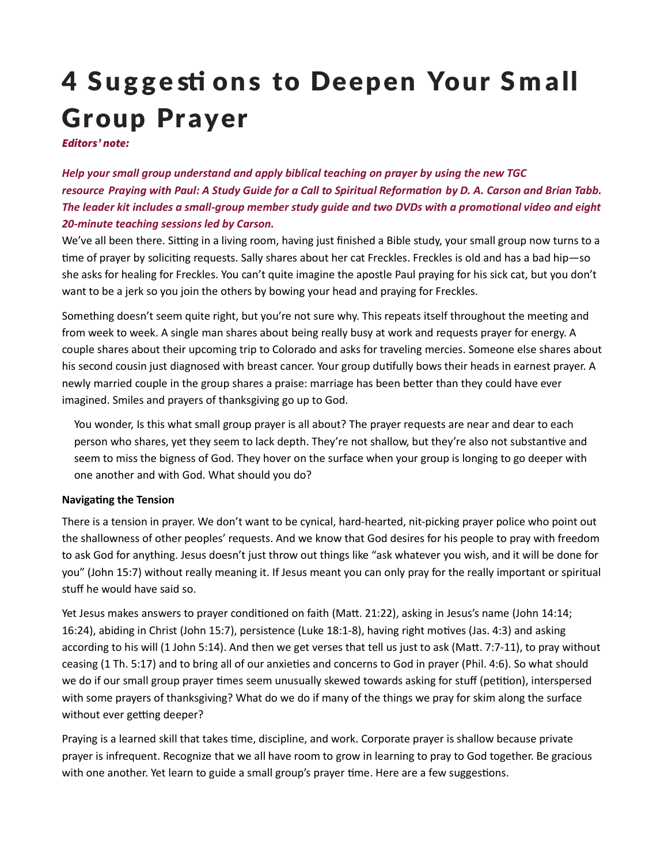# 4 Suggestions to Deepen Your Small **Group Prayer**

Editors' note:

Help your small group understand and apply biblical teaching on prayer by using the new TGC resource Praying with Paul: A Study Guide for a Call to Spiritual Reformation by D. A. Carson and Brian Tabb. The leader kit includes a small-group member study quide and two DVDs with a promotional video and eight 20-minute teaching sessions led by Carson.

We've all been there. Sitting in a living room, having just finished a Bible study, your small group now turns to a time of prayer by soliciting requests. Sally shares about her cat Freckles. Freckles is old and has a bad hip—so she asks for healing for Freckles. You can't quite imagine the apostle Paul praying for his sick cat, but you don't want to be a jerk so you join the others by bowing your head and praying for Freckles.

Something doesn't seem quite right, but you're not sure why. This repeats itself throughout the meeting and from week to week. A single man shares about being really busy at work and requests prayer for energy. A couple shares about their upcoming trip to Colorado and asks for traveling mercies. Someone else shares about his second cousin just diagnosed with breast cancer. Your group dutifully bows their heads in earnest prayer. A newly married couple in the group shares a praise: marriage has been better than they could have ever imagined. Smiles and prayers of thanksgiving go up to God.

You wonder, Is this what small group prayer is all about? The prayer requests are near and dear to each person who shares, yet they seem to lack depth. They're not shallow, but they're also not substantive and seem to miss the bigness of God. They hover on the surface when your group is longing to go deeper with one another and with God. What should you do?

#### Navigating the Tension

There is a tension in prayer. We don't want to be cynical, hard-hearted, nit-picking prayer police who point out the shallowness of other peoples' requests. And we know that God desires for his people to pray with freedom to ask God for anything. Jesus doesn't just throw out things like "ask whatever you wish, and it will be done for you" (John 15:7) without really meaning it. If Jesus meant you can only pray for the really important or spiritual stuff he would have said so.

Yet Jesus makes answers to prayer conditioned on faith (Matt. 21:22), asking in Jesus's name (John 14:14; 16:24), abiding in Christ (John 15:7), persistence (Luke 18:1-8), having right motives (Jas. 4:3) and asking according to his will (1 John 5:14). And then we get verses that tell us just to ask (Matt. 7:7-11), to pray without ceasing (1 Th. 5:17) and to bring all of our anxieties and concerns to God in prayer (Phil. 4:6). So what should we do if our small group prayer times seem unusually skewed towards asking for stuff (petition), interspersed with some prayers of thanksgiving? What do we do if many of the things we pray for skim along the surface without ever getting deeper?

Praying is a learned skill that takes time, discipline, and work. Corporate prayer is shallow because private prayer is infrequent. Recognize that we all have room to grow in learning to pray to God together. Be gracious with one another. Yet learn to guide a small group's prayer time. Here are a few suggestions.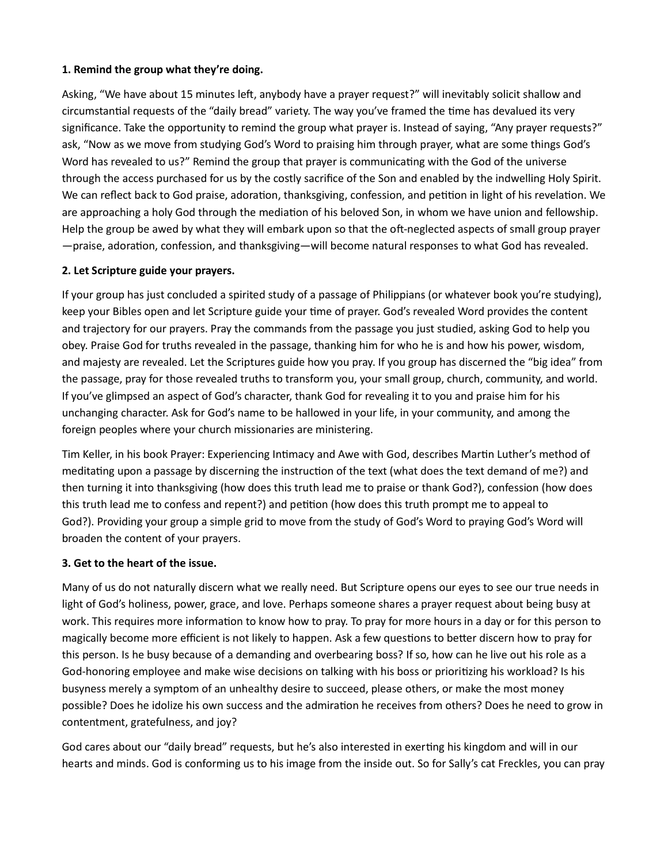### 1. Remind the group what they're doing.

Asking, "We have about 15 minutes left, anybody have a prayer request?" will inevitably solicit shallow and circumstantial requests of the "daily bread" variety. The way you've framed the time has devalued its very significance. Take the opportunity to remind the group what prayer is. Instead of saying, "Any prayer requests?" ask, "Now as we move from studying God's Word to praising him through prayer, what are some things God's Word has revealed to us?" Remind the group that prayer is communicating with the God of the universe through the access purchased for us by the costly sacrifice of the Son and enabled by the indwelling Holy Spirit. We can reflect back to God praise, adoration, thanksgiving, confession, and petition in light of his revelation. We are approaching a holy God through the mediation of his beloved Son, in whom we have union and fellowship. Help the group be awed by what they will embark upon so that the oft-neglected aspects of small group prayer  $-$ praise, adoration, confession, and thanksgiving—will become natural responses to what God has revealed.

## 2. Let Scripture guide your prayers.

If your group has just concluded a spirited study of a passage of Philippians (or whatever book you're studying), keep your Bibles open and let Scripture guide your time of prayer. God's revealed Word provides the content and trajectory for our prayers. Pray the commands from the passage you just studied, asking God to help you obey. Praise God for truths revealed in the passage, thanking him for who he is and how his power, wisdom, and majesty are revealed. Let the Scriptures guide how you pray. If you group has discerned the "big idea" from the passage, pray for those revealed truths to transform you, your small group, church, community, and world. If you've glimpsed an aspect of God's character, thank God for revealing it to you and praise him for his unchanging character. Ask for God's name to be hallowed in your life, in your community, and among the foreign peoples where your church missionaries are ministering.

Tim Keller, in his book Prayer: Experiencing Intimacy and Awe with God, describes Martin Luther's method of meditating upon a passage by discerning the instruction of the text (what does the text demand of me?) and then turning it into thanksgiving (how does this truth lead me to praise or thank God?), confession (how does this truth lead me to confess and repent?) and petition (how does this truth prompt me to appeal to God?). Providing your group a simple grid to move from the study of God's Word to praying God's Word will broaden the content of your prayers.

### 3. Get to the heart of the issue.

Many of us do not naturally discern what we really need. But Scripture opens our eyes to see our true needs in light of God's holiness, power, grace, and love. Perhaps someone shares a prayer request about being busy at work. This requires more information to know how to pray. To pray for more hours in a day or for this person to magically become more efficient is not likely to happen. Ask a few questions to better discern how to pray for this person. Is he busy because of a demanding and overbearing boss? If so, how can he live out his role as a God-honoring employee and make wise decisions on talking with his boss or prioritizing his workload? Is his busyness merely a symptom of an unhealthy desire to succeed, please others, or make the most money possible? Does he idolize his own success and the admiration he receives from others? Does he need to grow in contentment, gratefulness, and joy?

God cares about our "daily bread" requests, but he's also interested in exerting his kingdom and will in our hearts and minds. God is conforming us to his image from the inside out. So for Sally's cat Freckles, you can pray